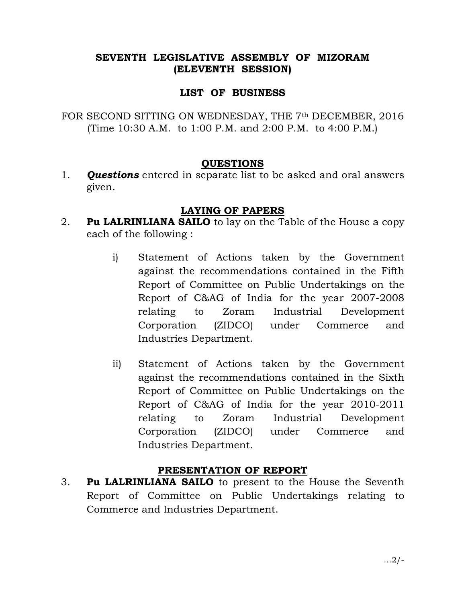## SEVENTH LEGISLATIVE ASSEMBLY OF MIZORAM (ELEVENTH SESSION)

### LIST OF BUSINESS

FOR SECOND SITTING ON WEDNESDAY, THE 7<sup>th</sup> DECEMBER, 2016 (Time 10:30 A.M. to 1:00 P.M. and 2:00 P.M. to 4:00 P.M.)

#### QUESTIONS

1. **Questions** entered in separate list to be asked and oral answers given.

### LAYING OF PAPERS

- 2. **Pu LALRINLIANA SAILO** to lay on the Table of the House a copy each of the following :
	- i) Statement of Actions taken by the Government against the recommendations contained in the Fifth Report of Committee on Public Undertakings on the Report of C&AG of India for the year 2007-2008 relating to Zoram Industrial Development Corporation (ZIDCO) under Commerce and Industries Department.
	- ii) Statement of Actions taken by the Government against the recommendations contained in the Sixth Report of Committee on Public Undertakings on the Report of C&AG of India for the year 2010-2011 relating to Zoram Industrial Development Corporation (ZIDCO) under Commerce and Industries Department.

## PRESENTATION OF REPORT

3. Pu LALRINLIANA SAILO to present to the House the Seventh Report of Committee on Public Undertakings relating to Commerce and Industries Department.